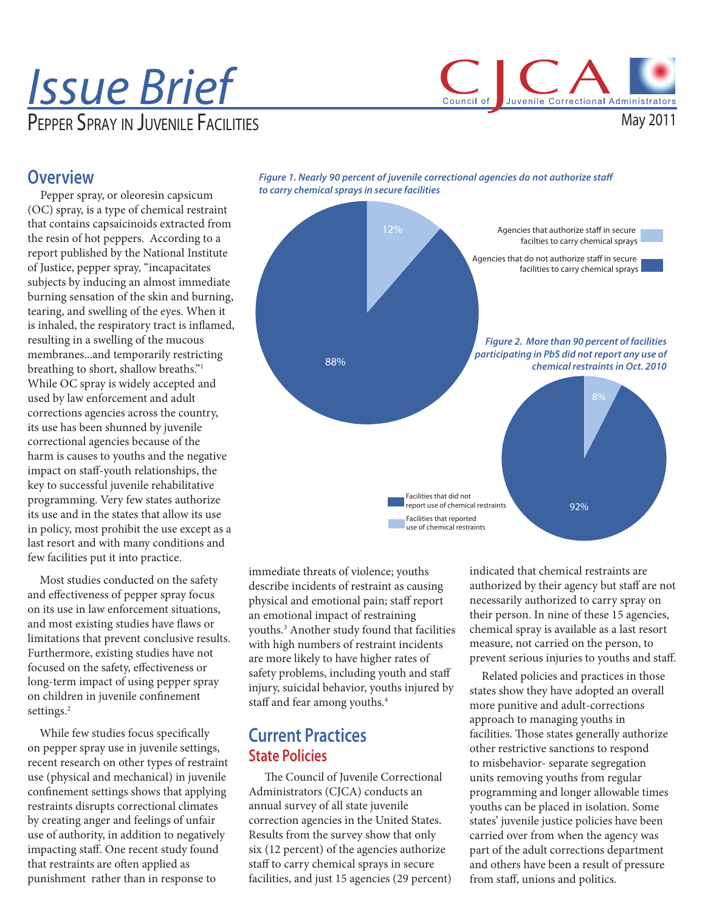# Issue Brief PEPPER SPRAY IN JUVENILE FACILITIES

Council of Juvenile Correctional Administrators

May 2011

## **Overview**

Pepper spray, or oleoresin capsicum (OC) spray, is a type of chemical restraint that contains capsaicinoids extracted from the resin of hot peppers. According to a report published by the National Institute of Justice, pepper spray, "incapacitates subjects by inducing an almost immediate burning sensation of the skin and burning, tearing, and swelling of the eyes. When it is inhaled, the respiratory tract is inflamed, resulting in a swelling of the mucous membranes...and temporarily restricting breathing to short, shallow breaths."1 While OC spray is widely accepted and used by law enforcement and adult corrections agencies across the country, its use has been shunned by juvenile correctional agencies because of the harm is causes to youths and the negative impact on staff-youth relationships, the key to successful juvenile rehabilitative programming. Very few states authorize its use and in the states that allow its use in policy, most prohibit the use except as a last resort and with many conditions and few facilities put it into practice.

 Most studies conducted on the safety and effectiveness of pepper spray focus on its use in law enforcement situations, and most existing studies have flaws or limitations that prevent conclusive results. Furthermore, existing studies have not focused on the safety, effectiveness or long-term impact of using pepper spray on children in juvenile confinement settings.<sup>2</sup>

While few studies focus specifically on pepper spray use in juvenile settings, recent research on other types of restraint use (physical and mechanical) in juvenile confinement settings shows that applying restraints disrupts correctional climates by creating anger and feelings of unfair use of authority, in addition to negatively impacting staff. One recent study found that restraints are often applied as punishment rather than in response to



Figure 1. Nearly 90 percent of juvenile correctional agencies do not authorize staff

immediate threats of violence; youths describe incidents of restraint as causing physical and emotional pain; staff report an emotional impact of restraining youths.3 Another study found that facilities with high numbers of restraint incidents are more likely to have higher rates of safety problems, including youth and staff injury, suicidal behavior, youths injured by staff and fear among youths.<sup>4</sup>

## **Current Practices State Policies**

The Council of Juvenile Correctional Administrators (CJCA) conducts an annual survey of all state juvenile correction agencies in the United States. Results from the survey show that only six (12 percent) of the agencies authorize staff to carry chemical sprays in secure facilities, and just 15 agencies (29 percent) indicated that chemical restraints are authorized by their agency but staff are not necessarily authorized to carry spray on their person. In nine of these 15 agencies, chemical spray is available as a last resort measure, not carried on the person, to prevent serious injuries to youths and staff.

 Related policies and practices in those states show they have adopted an overall more punitive and adult-corrections approach to managing youths in facilities. Those states generally authorize other restrictive sanctions to respond to misbehavior- separate segregation units removing youths from regular programming and longer allowable times youths can be placed in isolation. Some states' juvenile justice policies have been carried over from when the agency was part of the adult corrections department and others have been a result of pressure from staff, unions and politics.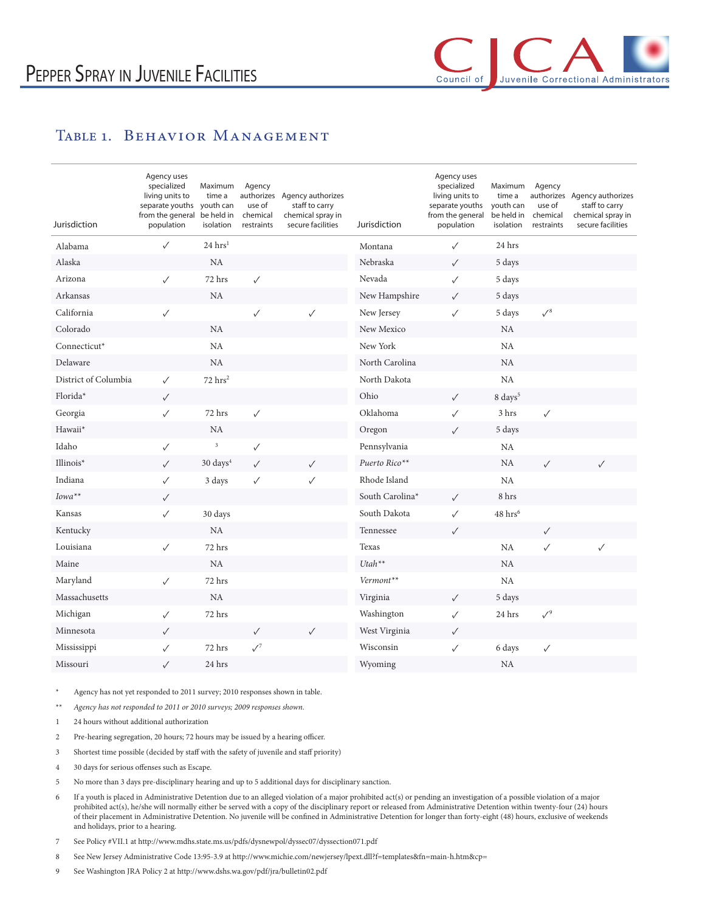## TABLE 1. BEHAVIOR MANAGEMENT

| Jurisdiction         | Agency uses<br>specialized<br>living units to<br>separate youths<br>from the general<br>population | Maximum<br>time a<br>youth can<br>be held in<br>isolation | Agency<br>use of<br>chemical<br>restraints | authorizes Agency authorizes<br>staff to carry<br>chemical spray in<br>secure facilities | Jurisdiction    | Agency uses<br>specialized<br>living units to<br>separate youths<br>from the general<br>population | Maximum<br>time a<br>youth can<br>be held in<br>isolation | Agency<br>use of<br>chemical<br>restraints | authorizes Agency authorizes<br>staff to carry<br>chemical spray in<br>secure facilities |
|----------------------|----------------------------------------------------------------------------------------------------|-----------------------------------------------------------|--------------------------------------------|------------------------------------------------------------------------------------------|-----------------|----------------------------------------------------------------------------------------------------|-----------------------------------------------------------|--------------------------------------------|------------------------------------------------------------------------------------------|
| Alabama              | $\checkmark$                                                                                       | $24 \,\mathrm{hrs}^1$                                     |                                            |                                                                                          | Montana         | $\checkmark$                                                                                       | 24 hrs                                                    |                                            |                                                                                          |
| Alaska               |                                                                                                    | NA                                                        |                                            |                                                                                          | Nebraska        | $\checkmark$                                                                                       | 5 days                                                    |                                            |                                                                                          |
| Arizona              | $\checkmark$                                                                                       | 72 hrs                                                    | $\checkmark$                               |                                                                                          | Nevada          | $\checkmark$                                                                                       | 5 days                                                    |                                            |                                                                                          |
| Arkansas             |                                                                                                    | <b>NA</b>                                                 |                                            |                                                                                          | New Hampshire   | $\checkmark$                                                                                       | 5 days                                                    |                                            |                                                                                          |
| California           | $\checkmark$                                                                                       |                                                           | $\checkmark$                               | $\checkmark$                                                                             | New Jersey      | $\checkmark$                                                                                       | 5 days                                                    | $\surd s$                                  |                                                                                          |
| Colorado             |                                                                                                    | <b>NA</b>                                                 |                                            |                                                                                          | New Mexico      |                                                                                                    | NA                                                        |                                            |                                                                                          |
| Connecticut*         |                                                                                                    | NA                                                        |                                            |                                                                                          | New York        |                                                                                                    | NA                                                        |                                            |                                                                                          |
| Delaware             |                                                                                                    | <b>NA</b>                                                 |                                            |                                                                                          | North Carolina  |                                                                                                    | <b>NA</b>                                                 |                                            |                                                                                          |
| District of Columbia | $\checkmark$                                                                                       | $72$ hrs <sup>2</sup>                                     |                                            |                                                                                          | North Dakota    |                                                                                                    | NA                                                        |                                            |                                                                                          |
| Florida*             | $\checkmark$                                                                                       |                                                           |                                            |                                                                                          | Ohio            | $\checkmark$                                                                                       | 8 days <sup>5</sup>                                       |                                            |                                                                                          |
| Georgia              | $\checkmark$                                                                                       | 72 hrs                                                    | $\checkmark$                               |                                                                                          | Oklahoma        | $\checkmark$                                                                                       | 3 hrs                                                     | $\checkmark$                               |                                                                                          |
| Hawaii*              |                                                                                                    | <b>NA</b>                                                 |                                            |                                                                                          | Oregon          | $\checkmark$                                                                                       | 5 days                                                    |                                            |                                                                                          |
| Idaho                | $\checkmark$                                                                                       | $\overline{\mathbf{3}}$                                   | $\checkmark$                               |                                                                                          | Pennsylvania    |                                                                                                    | NA                                                        |                                            |                                                                                          |
| Illinois*            | $\checkmark$                                                                                       | 30 days <sup>4</sup>                                      | $\checkmark$                               | $\checkmark$                                                                             | Puerto Rico**   |                                                                                                    | NA                                                        | $\checkmark$                               | ✓                                                                                        |
| Indiana              | $\checkmark$                                                                                       | 3 days                                                    | ✓                                          | $\checkmark$                                                                             | Rhode Island    |                                                                                                    | <b>NA</b>                                                 |                                            |                                                                                          |
| Iowa**               | $\checkmark$                                                                                       |                                                           |                                            |                                                                                          | South Carolina* | $\checkmark$                                                                                       | 8 hrs                                                     |                                            |                                                                                          |
| Kansas               | $\checkmark$                                                                                       | 30 days                                                   |                                            |                                                                                          | South Dakota    | $\checkmark$                                                                                       | $48~\mathrm{hrs}^6$                                       |                                            |                                                                                          |
| Kentucky             |                                                                                                    | NA                                                        |                                            |                                                                                          | Tennessee       | $\checkmark$                                                                                       |                                                           | $\checkmark$                               |                                                                                          |
| Louisiana            | $\checkmark$                                                                                       | 72 hrs                                                    |                                            |                                                                                          | Texas           |                                                                                                    | <b>NA</b>                                                 | $\checkmark$                               | ✓                                                                                        |
| Maine                |                                                                                                    | NA                                                        |                                            |                                                                                          | $Utah**$        |                                                                                                    | NA                                                        |                                            |                                                                                          |
| Maryland             | $\checkmark$                                                                                       | 72 hrs                                                    |                                            |                                                                                          | Vermont**       |                                                                                                    | NA                                                        |                                            |                                                                                          |
| Massachusetts        |                                                                                                    | NA                                                        |                                            |                                                                                          | Virginia        | $\checkmark$                                                                                       | 5 days                                                    |                                            |                                                                                          |
| Michigan             | $\checkmark$                                                                                       | 72 hrs                                                    |                                            |                                                                                          | Washington      | $\checkmark$                                                                                       | 24 hrs                                                    | $\sqrt{9}$                                 |                                                                                          |
| Minnesota            | $\checkmark$                                                                                       |                                                           | $\checkmark$                               | $\checkmark$                                                                             | West Virginia   | $\checkmark$                                                                                       |                                                           |                                            |                                                                                          |
| Mississippi          | ✓                                                                                                  | 72 hrs                                                    | $\sqrt{7}$                                 |                                                                                          | Wisconsin       | $\checkmark$                                                                                       | 6 days                                                    | ✓                                          |                                                                                          |
| Missouri             | $\checkmark$                                                                                       | 24 hrs                                                    |                                            |                                                                                          | Wyoming         |                                                                                                    | NA                                                        |                                            |                                                                                          |

Agency has not yet responded to 2011 survey; 2010 responses shown in table.

\*\* Agency has not responded to 2011 or 2010 surveys; 2009 responses shown.

- 1 24 hours without additional authorization
- 2 Pre-hearing segregation, 20 hours; 72 hours may be issued by a hearing officer.
- 3 Shortest time possible (decided by staff with the safety of juvenile and staff priority)
- 4 30 days for serious offenses such as Escape.
- 5 No more than 3 days pre-disciplinary hearing and up to 5 additional days for disciplinary sanction.
- 6 If a youth is placed in Administrative Detention due to an alleged violation of a major prohibited act(s) or pending an investigation of a possible violation of a major prohibited act(s), he/she will normally either be served with a copy of the disciplinary report or released from Administrative Detention within twenty-four (24) hours of their placement in Administrative Detention. No juvenile will be confined in Administrative Detention for longer than forty-eight (48) hours, exclusive of weekends and holidays, prior to a hearing.
- 7 See Policy #VII.1 at http://www.mdhs.state.ms.us/pdfs/dysnewpol/dyssec07/dyssection071.pdf
- 8 See New Jersey Administrative Code 13:95-3.9 at http://www.michie.com/newjersey/lpext.dll?f=templates&fn=main-h.htm&cp=
- 9 See Washington JRA Policy 2 at http://www.dshs.wa.gov/pdf/jra/bulletin02.pdf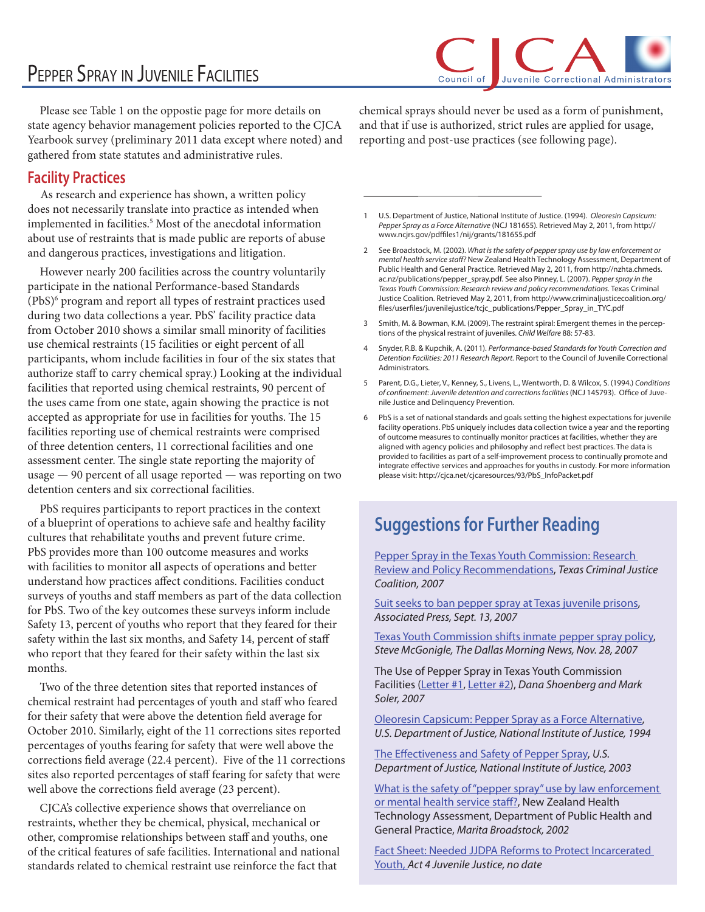## PEPPER SPRAY IN JUVENILE FACILITIES

Council of Juvenile Correctional Administrators

 Please see Table 1 on the oppostie page for more details on state agency behavior management policies reported to the CJCA Yearbook survey (preliminary 2011 data except where noted) and gathered from state statutes and administrative rules.

## **Facility Practices**

As research and experience has shown, a written policy does not necessarily translate into practice as intended when implemented in facilities.<sup>5</sup> Most of the anecdotal information about use of restraints that is made public are reports of abuse and dangerous practices, investigations and litigation.

 However nearly 200 facilities across the country voluntarily participate in the national Performance-based Standards (PbS)6 program and report all types of restraint practices used during two data collections a year. PbS' facility practice data from October 2010 shows a similar small minority of facilities use chemical restraints (15 facilities or eight percent of all participants, whom include facilities in four of the six states that authorize staff to carry chemical spray.) Looking at the individual facilities that reported using chemical restraints, 90 percent of the uses came from one state, again showing the practice is not accepted as appropriate for use in facilities for youths. The 15 facilities reporting use of chemical restraints were comprised of three detention centers, 11 correctional facilities and one assessment center. The single state reporting the majority of usage — 90 percent of all usage reported — was reporting on two detention centers and six correctional facilities.

 PbS requires participants to report practices in the context of a blueprint of operations to achieve safe and healthy facility cultures that rehabilitate youths and prevent future crime. PbS provides more than 100 outcome measures and works with facilities to monitor all aspects of operations and better understand how practices affect conditions. Facilities conduct surveys of youths and staff members as part of the data collection for PbS. Two of the key outcomes these surveys inform include Safety 13, percent of youths who report that they feared for their safety within the last six months, and Safety 14, percent of staff who report that they feared for their safety within the last six months.

 Two of the three detention sites that reported instances of chemical restraint had percentages of youth and staff who feared for their safety that were above the detention field average for October 2010. Similarly, eight of the 11 corrections sites reported percentages of youths fearing for safety that were well above the corrections field average (22.4 percent). Five of the 11 corrections sites also reported percentages of staff fearing for safety that were well above the corrections field average (23 percent).

 CJCA's collective experience shows that overreliance on restraints, whether they be chemical, physical, mechanical or other, compromise relationships between staff and youths, one of the critical features of safe facilities. International and national standards related to chemical restraint use reinforce the fact that

chemical sprays should never be used as a form of punishment, and that if use is authorized, strict rules are applied for usage, reporting and post-use practices (see following page).

- U.S. Department of Justice, National Institute of Justice. (1994). Oleoresin Capsicum: Pepper Spray as a Force Alternative (NCJ 181655). Retrieved May 2, 2011, from [http://](http://http://www.ncjrs.gov/pdffiles1/nij/grants/181655.pdf) www.ncjrs.gov/pdffiles1/nij/grants/181655.pdf
- 2 See Broadstock, M. (2002). What is the safety of pepper spray use by law enforcement or mental health service staff? New Zealand Health Technology Assessment, Department of Public Health and General Practice. Retrieved May 2, 2011, from [http://nzhta.chmeds.](http://http://nzhta.chmeds.ac.nz/publications/pepper_spray.pdf) [ac.nz/publications/pepper\\_spray.pdf.](http://http://nzhta.chmeds.ac.nz/publications/pepper_spray.pdf) See also Pinney, L. (2007). Pepper spray in the Texas Youth Commission: Research review and policy recommendations. Texas Criminal Justice Coalition. Retrieved May 2, 2011, from [http://www.criminaljusticecoalition.org/](http://http://www.criminaljusticecoalition.org/files/userfiles/juvenilejustice/tcjc_publications/Pepper_Spray_in_TYC.pdf) [#les/user#les/juvenilejustice/tcjc\\_publications/Pepper\\_Spray\\_in\\_TYC.pdf](http://http://www.criminaljusticecoalition.org/files/userfiles/juvenilejustice/tcjc_publications/Pepper_Spray_in_TYC.pdf)
- 3 Smith, M. & Bowman, K.M. (2009). The restraint spiral: Emergent themes in the perceptions of the physical restraint of juveniles. Child Welfare 88: 57-83.
- 4 Snyder, R.B. & Kupchik, A. (2011). Performance-based Standards for Youth Correction and Detention Facilities: 2011 Research Report. Report to the Council of Juvenile Correctional Administrators.
- Parent, D.G., Lieter, V., Kenney, S., Livens, L., Wentworth, D. & Wilcox, S. (1994.) Conditions of confinement: Juvenile detention and corrections facilities (NCJ 145793). Office of Juvenile Justice and Delinquency Prevention.
- 6 PbS is a set of national standards and goals setting the highest expectations for juvenile facility operations. PbS uniquely includes data collection twice a year and the reporting of outcome measures to continually monitor practices at facilities, whether they are aligned with agency policies and philosophy and reflect best practices. The data is provided to facilities as part of a self-improvement process to continually promote and integrate effective services and approaches for youths in custody. For more information please visit: [http://cjca.net/cjcaresources/93/PbS\\_InfoPacket.pdf](http://cjca.net/cjcaresources/93/PbS_InfoPacket.pdf)

## **Suggestions for Further Reading**

[Pepper Spray in the Texas Youth Commission: Research](http://www.criminaljusticecoalition.org/files/userfiles/juvenilejustice/tcjc_publications/Pepper_Spray_in_TYC.pdf)  [Review and Policy Recommendations,](http://www.criminaljusticecoalition.org/files/userfiles/juvenilejustice/tcjc_publications/Pepper_Spray_in_TYC.pdf) Texas Criminal Justice Coalition, 2007

[Suit seeks to ban pepper spray at Texas juvenile prisons](http://www.chron.com/disp/story.mpl/metropolitan/5133406.html), Associated Press, Sept. 13, 2007

Texas Youth Commission shifts inmate pepper spray policy, Steve McGonigle, The Dallas Morning News, Nov. 28, 2007

The Use of Pepper Spray in Texas Youth Commission Facilities (Letter #1, Letter #2), Dana Shoenberg and Mark Soler, 2007

[Oleoresin Capsicum: Pepper Spray as a Force Alternative,](http://www.ncjrs.gov/pdffiles1/nij/grants/181655.pdf) U.S. Department of Justice, National Institute of Justice, 1994

The Effectiveness and Safety of Pepper Spray, U.S. Department of Justice, National Institute of Justice, 2003

What is the safety of "pepper spray" use by law enforcement or mental health service staff?, New Zealand Health Technology Assessment, Department of Public Health and General Practice, Marita Broadstock, 2002

[Fact Sheet: Needed JJDPA Reforms to Protect Incarcerated](http://www.act4jj.org/media/factsheets/factsheet_58.pdf)  [Youth](http://www.act4jj.org/media/factsheets/factsheet_58.pdf), Act 4 Juvenile Justice, no date